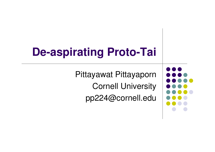# **De-aspirating Proto-Tai**

Pittayawat PittayapornCornell Universitypp224@cornell.edu

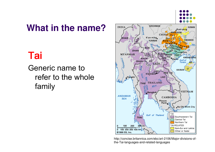

#### **What in the name?**

#### Tai

Generic name to refer to the whole family



http://concise.britannica.com/ebc/art-2106/Major-divisions-ofthe-Tai-languages-and-related-languages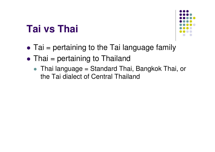## **Tai vs Thai**



- $\bullet$ Tai = pertaining to the Tai language family
- $\bullet$ • Thai = pertaining to Thailand
	- Thai language = Standard Thai, Bangkok Thai, or the Tai dialect of Central Thailand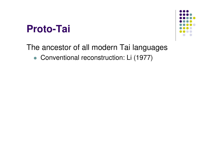## **Proto-Tai**



#### The ancestor of all modern Tai languages

Conventional reconstruction: Li (1977)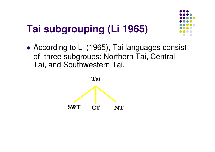# **Tai subgrouping (Li 1965)**

 $\bullet$ • According to Li (1965), Tai languages consist of three subgroups: Northern Tai, Central Tai, and Southwestern Tai.



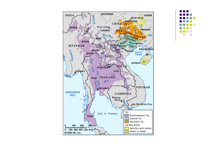

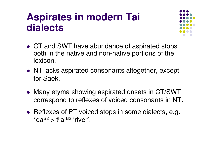## **Aspirates in modern Tai dialects**



- CT and SWT have abundance of aspirated stops both in the native and non-native portions of the lexicon.
- NT lacks aspirated consonants altogether, except for Saek.
- Many etyma showing aspirated onsets in CT/SWT correspond to reflexes of voiced consonants in NT.
- Reflexes of PT voiced stops in some dialects, e.g.  $^{\star}$ da $^{\sf B2}$  > tʰa: $^{\sf B2}$  'river'.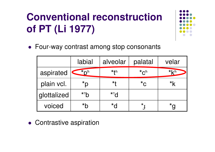# **Conventional reconstruction of PT (Li 1977)**



Four-way contrast among stop consonants

|             | labial           | alveolar         | palatal                       | velar |
|-------------|------------------|------------------|-------------------------------|-------|
| aspirated   | $*_{D^h}$        | * <del>t</del> h | $*_{\mathsf{C}}^{\mathsf{h}}$ | $*kh$ |
| plain vcl.  | $*_{\mathsf{D}}$ | $\star$ f        | $\star$ C                     |       |
| glottalized | $*^2b$           | $*^2$            |                               |       |
| voiced      | $*h$             | $\star$ J        | *                             |       |

Contrastive aspiration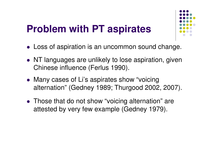## **Problem with PT aspirates**



- Loss of aspiration is an uncommon sound change.
- NT languages are unlikely to lose aspiration, given Chinese influence (Ferlus 1990).
- Many cases of Li's aspirates show "voicing alternation" (Gedney 1989; Thurgood 2002, 2007).
- Those that do not show "voicing alternation" are attested by very few example (Gedney 1979).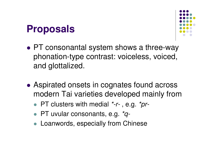## **Proposals**



- $\bullet$  PT consonantal system shows a three-way phonation-type contrast: voiceless, voiced, and glottalized.
- $\bullet$ • Aspirated onsets in cognates found across modern Tai varieties developed mainly from
	- PT clusters with medial \*-r-, e.g. \*pr-
	- PT uvular consonants, e.g. \*q-
	- Loanwords, especially from Chinese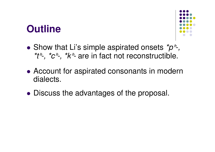## **Outline**



- $\bullet$ • Show that Li's simple aspirated onsets  $p^h$ -, \*t^-, \*c^-, \*k^- are in fact not reconstructible.
- $\bullet$ • Account for aspirated consonants in modern dialects.
- $\bullet$ Discuss the advantages of the proposal.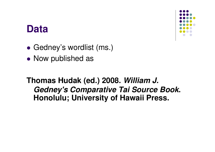#### **Data**



- $\bullet$ Gedney's wordlist (ms.)
- $\bullet$ • Now published as

**Thomas Hudak (ed.) 2008. William J. Gedney's Comparative Tai Source Book. Honolulu; University of Hawaii Press.**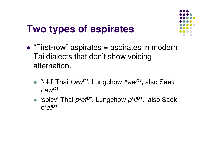## **Two types of aspirates**



- $\bullet$ • "First-row" aspirates = aspirates in modern Tai dialects that don't show voicing alternation.
	- $\bullet$ **'**'old' Thai <sup>t</sup><sup>ʰ</sup>aw**C1**, Lungchowt<sup>ʰ</sup>aw**C1,** also Saekt<sup>ʰ</sup>aw**C1**
	- **•** 'spicy' Thai  $p^h e t^{D}$ <sup>*'*</sup>, Lungchow  $p^h i t^{D}$ <sup>*'*</sup>, also Saek</sub> pʰet**D1**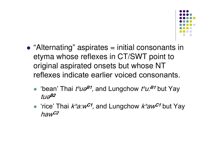

- $\bullet$ • "Alternating" aspirates = initial consonants in etyma whose reflexes in CT/SWT point to original aspirated onsets but whose NT reflexes indicate earlier voiced consonants.
	- $\bullet$ • 'bean' Thai  $t^h u \partial^B$ <sup>1</sup>, and Lungchow  $t^h u \partial^B$ <sup>1</sup> but Yay tuə B<sub>2</sub>
	- $\bullet$ • 'rice' Thai  $k$ <sup>h</sup>a:w<sup>C1</sup>, and Lungchow  $k$ <sup>h</sup>aw<sup>C1</sup> but Yay hawC2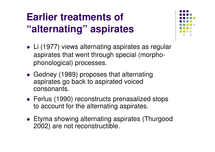# **Earlier treatments of "alternating" aspirates**

- Li (1977) views alternating aspirates as regular aspirates that went through special (morphophonological) processes.
- Gedney (1989) proposes that alternating aspirates go back to aspirated voiced consonants.
- **Ferlus (1990) reconstructs prenasalized stops** to account for the alternating aspirates.
- Etyma showing alternating aspirates (Thurgood2002) are not reconstructible.

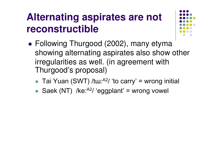# **Alternating aspirates are not reconstructible**



- $\bullet$  Following Thurgood (2002), many etyma showing alternating aspirates also show other irregularities as well. (in agreement with Thurgood's proposal)
	- $\bullet$ • Tai Yuan (SWT) /tɯ: $A<sup>2</sup>$ / 'to carry' = wrong initial
	- $\bullet$ Saek (NT) /ke: $A^{2}$ / 'eggplant' = wrong vowel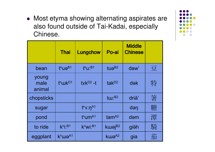• Most etyma showing alternating aspirates are also found outside of Tai-Kadai, especially Chinese.

|                         | <b>Thai</b>                     | Lungchow                        | Po-ai                | <b>Middle</b><br><b>Chinese</b> |   |
|-------------------------|---------------------------------|---------------------------------|----------------------|---------------------------------|---|
| bean                    | $t^h$ uə <sup>B1</sup>          | $t^h$ u: <sup>B1</sup>          | tu $\theta^{B2}$     | dəw'                            | 豆 |
| young<br>male<br>animal | t <sup>h</sup> wk <sup>D1</sup> | $txk^{D2} -t$                   | $t$ ak <sup>D2</sup> | dək                             | 特 |
| chopsticks              |                                 |                                 | tu: $B2$             | driă'                           | 箸 |
| sugar                   |                                 | $t^h$ $\times$ : $\eta^{A1}$    |                      | dan                             | 糖 |
| pond                    |                                 | t <sup>h</sup> um <sup>A1</sup> | $tam^{A2}$           | dəm                             | 潭 |
| to ride                 | $k^h$ i: <sup>B1</sup>          | $K^hWi$ : <sup>B1</sup>         | kwaj <sup>B2</sup>   | giặh                            | 騎 |
| eggplant                | k <sup>h</sup> wa <sup>A1</sup> |                                 | kwa <sup>A2</sup>    | gia                             | 茄 |

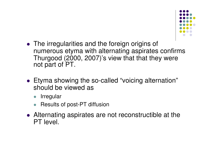

- The irregularities and the foreign origins of numerous etyma with alternating aspirates confirms Thurgood (2000, 2007)'s view that that they were not part of PT.
- Etyma showing the so-called "voicing alternation" should be viewed as
	- $\bullet$ Irregular
	- $\bullet$ Results of post-PT diffusion
- Alternating aspirates are not reconstructible at the PT level.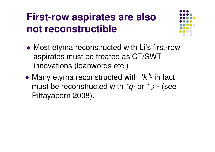# **First-row aspirates are also not reconstructible**



- $\bullet$ • Most etyma reconstructed with Li's first-row aspirates must be treated as CT/SWT innovations (loanwords etc.)
- $\bullet$ • Many etyma reconstructed with  $k^h$ - $\frac{1}{2}$  in fact must be reconstructed with  $\displaystyle{ \raisebox{0.6ex}{\scriptsize{*}}} q$ - or  $\displaystyle{ \raisebox{0.6ex}{\scriptsize{*}}}$   $\chi$ - (see Pittayaporn 2008).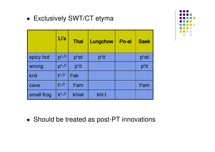#### ● Exclusively SWT/CT etyma

|            | Li's               | <b>Thai</b>       | Lungchow | Po-ai | <b>Saek</b> |
|------------|--------------------|-------------------|----------|-------|-------------|
| spicy hot  | $ph-D$             | p <sup>h</sup> et | phit     |       | phet        |
| wrong      | $p^h - D$          | phit              |          |       | phit        |
| knit       | $th$ <sub>-D</sub> | t <sup>h</sup> ak |          |       |             |
| cave       | $th$ -D            | tham              |          |       | tham        |
| small frog | $k^h$ -D           | khiet             | khi:t    |       |             |



• Should be treated as post-PT innovations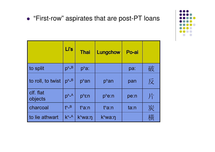#### • "First-row" aspirates that are post-PT loans

|                      | Li's                | <b>Thai</b>        | Lungchow            | Po-ai |             |
|----------------------|---------------------|--------------------|---------------------|-------|-------------|
| to split             | $p^h$ <sub>B</sub>  | $pha$ :            |                     | pa:   | 破           |
| to roll, to twist    | $p^h$ <sub>B</sub>  | phan               | phan                | pan   | 反           |
| clf. flat<br>objects | $p^h$ <sub>-A</sub> | $p^h$ εη           | $p^h$ e:n           | pe:n  | $\bigoplus$ |
| charcoal             | $fh$ <sub>-B</sub>  | t <sup>h</sup> a:n | t <sup>h</sup> a:n  | ta:n  | 炭           |
| to lie athwart       | $k^h$ -A            | $k^h$ wa: $\eta$   | k <sup>h</sup> wa:n |       | 當           |

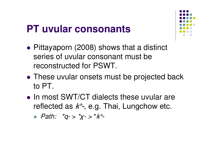## **PT uvular consonants**

- $\bullet$  Pittayaporn (2008) shows that a distinct series of uvular consonant must be reconstructed for PSWT.
- $\bullet$ • These uvular onsets must be projected back to PT.
- $\bullet$ • In most SWT/CT dialects these uvular are reflected as  $k^h$ -, e.g. Thai, Lungchow etc.
	- $\bullet$  Path:  $\text{*}q$ ->  $\text{*}x$ -> $\text{*}k$ <sup>n</sup>-

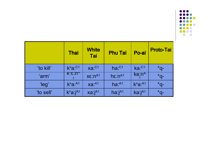

|           | <b>Thai</b>                      | <b>White</b><br><b>Tai</b> | <b>Phu Tai</b>                   | Po-ai                            | <b>Proto-Tai</b> |
|-----------|----------------------------------|----------------------------|----------------------------------|----------------------------------|------------------|
| 'to kill' | $k^h a$ : $C1$                   | $xa:^{C1}$                 | $ha:$ <sup><math>C1</math></sup> | $ka:$ <sup><math>C1</math></sup> | $Q^*$            |
| 'arm'     | K"ε:ከ′                           | $X\mathcal{E}:n^{A1}$      | $h\epsilon$ : $n^{A1}$           | ke:n <sup>A</sup>                | $*q-$            |
| 'leg'     | k <sup>h</sup> a <sup>: A1</sup> | $xa:^{A1}$                 | $ha:^{A1}$                       | k <sup>h</sup> a <sup>: A1</sup> | $*q-$            |
| 'to sell' | $k^h a$ : $j^{A1}$               | $xa$ : $j^{A1}$            | ha: $j^{A1}$                     | $k$ a: $jA1$                     | $*q-$            |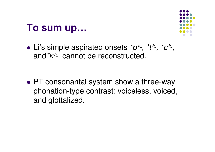### **To sum up…**



 $\bullet$ • Li's simple aspirated onsets  $\phi^h$ -,  $\phi^h$ -,  $\phi^h$ -,  $\phi^h$ -,  $\phi^h$ -, and  $k^{\prime}$ - cannot be reconstructed.

 $\bullet$ • PT consonantal system show a three-way phonation-type contrast: voiceless, voiced, and glottalized.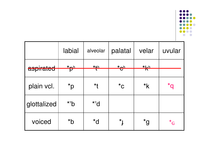

|                                  | labial               | alveolar           | palatal                       | velar                       | uvular               |
|----------------------------------|----------------------|--------------------|-------------------------------|-----------------------------|----------------------|
| i <u>u o t o ol</u><br>aspirated | $\overline{P}^{\mu}$ | $x + h$            | $\overline{\mathbf{e}}^{\mu}$ | $*Lh$<br>$\overline{\bf N}$ |                      |
| plain vcl.                       | $\mathsf{q}^\star$   | $*$ t              | $^{\star}$ C                  | $*_{\mathsf{k}}$            | $\star$ 0            |
| glottalized                      | $*^2b$               | $*$ <sup>2</sup> d |                               |                             |                      |
| voiced                           | $*$ b                | $\overline{b}^*$   | $*$ <sub>1</sub>              | $\mathsf{p}^\star$          | $\star$ <sub>G</sub> |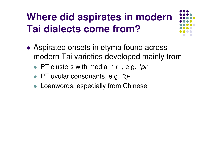# **Where did aspirates in modern Tai dialects come from?**

- $\bullet$ • Aspirated onsets in etyma found across modern Tai varieties developed mainly from
	- PT clusters with medial \*-r-, e.g. \*pr-
	- PT uvular consonants, e.g. \*q-
	- Loanwords, especially from Chinese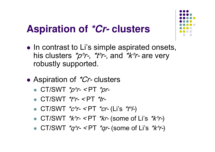# **Aspiration of \*Cr- clusters**

- In contrast to Li's simple aspirated onsets, his clusters  $\bm{{^*}\!}p^\prime\!r$ -,  $\bm{{^*}\!}t^\prime\!r$ -, and  $\bm{{^*}\!}k^\prime\!r$ - are very robustly supported.
- $\bullet$ • Aspiration of *\*Cr*- clusters
	- $\bullet$  CT/SWT  $^*p^{\hbar}r$  <PT  $^*pr$ -
	- $\bullet$  CT/SWT  $^*$ th  $\sim$  CT  $^*$ tr-
	- $\bullet$  CT/SWT  $^{\ast}$ c $^{\prime\prime}$ r- <PT  $^{\ast}$ cr- (Li's  $^{\ast}$ t $^{\prime\prime}$ /-)
	- CT/SWT  $\frac{k}{r}$  <PT  $\frac{k}{r}$  (some of Li's  $\frac{k}{r}$ )
	- CT/SWT  $^*q^h$ r- <PT  $^*qr$  (some of Li's  $^*k^h$ r-)

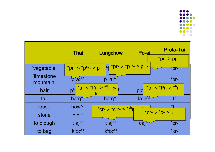

|                                | <b>Thai</b>                       | Lungchow                                                                                         | Po-ai          | <b>Proto-Tai</b><br>$*pr - > pj -$ |
|--------------------------------|-----------------------------------|--------------------------------------------------------------------------------------------------|----------------|------------------------------------|
| 'vegetable'                    |                                   | *pr- > *p <sup>h</sup> r- > p <sup>h</sup> -   nj  *pr- > *p <sup>h</sup> r- > p <sup>h</sup> j- |                | $\overline{pr}$                    |
| <i>'limestone</i><br>mountain' | p <sup>n</sup> a <sub>1</sub> A1  | phja:A1                                                                                          |                | $*pr-$                             |
| hair                           | $D^h$                             | $\frac{1}{2}$ *tr- > *t <sup>h</sup> r- > * <sup>h</sup> r- ><br>h-                              | pjd            | $*ir - > *t^hr - > *h^hr$          |
| tail                           | ha:ŋ <sup>ʌ∖.</sup>               | $ha: \eta^{A1}$                                                                                  | $Ia:\eta^{A1}$ | $*$ tr-                            |
| louse                          | haw $A1$                          | *cr- > *c <sup>h</sup> r- > *t <sup>h</sup> n                                                    |                | *tr-                               |
| stone                          | $h$ in <sup><math>A1</math></sup> |                                                                                                  |                | *Cr- > $*c-$ > $c-$                |
| to plough                      | $thajA1$                          | t <sup>h</sup> ai <sup>A1</sup>                                                                  | cal            | $*$ cr-                            |
| to beg                         | $k^h$ o: $A1$                     | $k^h$ O: $A1$                                                                                    |                | $*$ kr-                            |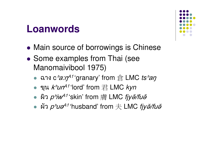#### **Loanwords**

- $\bullet$ **• Main source of borrowings is Chinese**
- $\bullet$ • Some examples from Thai (see Manomaivibool 1975)
	- $\bullet$ •  $a$ าง c  $h$ a: $\eta^{41}$ 'granary' from 倉 LMC ts $h$ aŋ
	- ขุน *kʰun*<sup>41</sup>ʻlord' from 君 LMC *kyn*<br>→ อิค อย่ะ41'okin' from 青 LMC *five*
	- $\bullet$ ผิว <sup>p</sup>ʰiwA1 'skin' from 膚 LMC fjyə̆/fuə̆
	- $\bullet$ ● ผัว  $\rho$ *ʰuə*<sup>41</sup>ʻhusband' from  $\pm$  LMC *fjyə̆/fuə*̆

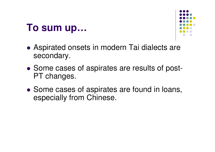### **To sum up…**



- $\bullet$ • Aspirated onsets in modern Tai dialects are secondary.
- $\bullet$ • Some cases of aspirates are results of post-PT changes.
- $\bullet$ • Some cases of aspirates are found in loans, especially from Chinese.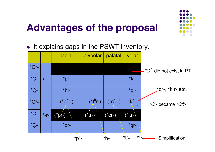## **Advantages of the proposal**

 $\bullet$ It explains gaps in the PSWT inventory.

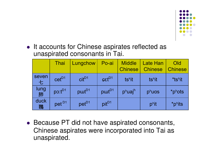

• It accounts for Chinese aspirates reflected as unaspirated consonants in Tai.

|            | Thai              | Lungchow                 | Po-ai                            | <b>Middle</b><br><b>Chinese</b> | <b>Late Han</b><br><b>Chinese</b> | Old<br><b>Chinese</b> |
|------------|-------------------|--------------------------|----------------------------------|---------------------------------|-----------------------------------|-----------------------|
| seven<br>七 | $cet^{D1}$        | $\text{cit}^{\text{D1}}$ | $\epsilon$ <sub>C</sub> $t^{D1}$ | tshit                           | tshit                             | *tshit                |
| lung<br>肺  | $po: t^{D1}$      | put <sup>D1</sup>        | put <sup>D1</sup>                | p <sup>h</sup> uaj <sup>h</sup> | $p^h$ uas                         | *phots                |
| duck<br>鴄  | pet <sup>D1</sup> | $pet^{D1}$               | pit <sup>D1</sup>                |                                 | $p^{\text{h}}$ it                 | *phits                |

• Because PT did not have aspirated consonants, Chinese aspirates were incorporated into Tai as unaspirated.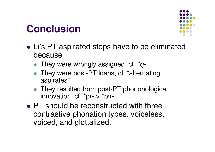## **Conclusion**



- $\bullet$  Li's PT aspirated stops have to be eliminated because
	- They were wrongly assigned, cf.  $*q$ -
	- They were post-PT loans, cf. "alternating aspirates"
	- They resulted from post-PT phononological innovation, cf. \*pr-  $>$  \*p<sup>hr-</sup>
- $\bullet$ • PT should be reconstructed with three contrastive phonation types: voiceless, voiced, and glottalized.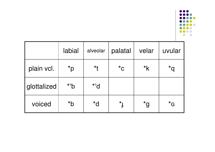

|             | labial             | alveolar           | palatal              | velar            | uvular                   |
|-------------|--------------------|--------------------|----------------------|------------------|--------------------------|
| plain vcl.  | $\mathsf{q}^\star$ | $*$ f              | $^{\star}$ C         | $*_{\mathsf{k}}$ | $\boldsymbol{\delta}^*$  |
| glottalized | $*^2b$             | $*$ <sup>2</sup> d |                      |                  |                          |
| voiced      | $*$ b              | $\overline{b}^*$   | $\star$ <sub>1</sub> | $^{\star}$ g     | $\boldsymbol{G}^{\star}$ |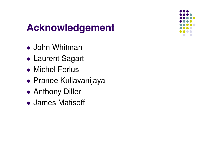## **Acknowledgement**

- $\bullet$ ● John Whitman
- $\bullet$ Laurent Sagart
- $\bullet$ ● Michel Ferlus
- $\bullet$ Pranee Kullavanijaya
- $\bullet$ ● Anthony Diller
- $\bullet$ James Matisoff